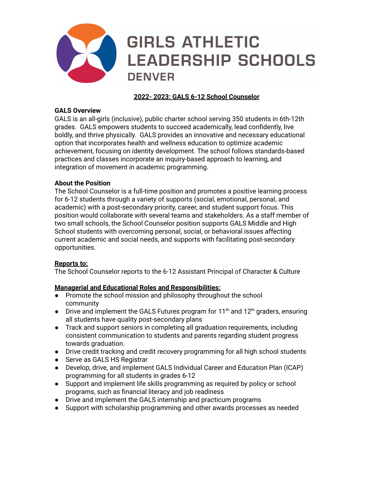

# **2022- 2023: GALS 6-12 School Counselor**

### **GALS Overview**

GALS is an all-girls (inclusive), public charter school serving 350 students in 6th-12th grades. GALS empowers students to succeed academically, lead confidently, live boldly, and thrive physically. GALS provides an innovative and necessary educational option that incorporates health and wellness education to optimize academic achievement, focusing on identity development. The school follows standards-based practices and classes incorporate an inquiry-based approach to learning, and integration of movement in academic programming.

### **About the Position**

The School Counselor is a full-time position and promotes a positive learning process for 6-12 students through a variety of supports (social, emotional, personal, and academic) with a post-secondary priority, career, and student support focus. This position would collaborate with several teams and stakeholders. As a staff member of two small schools, the School Counselor position supports GALS Middle and High School students with overcoming personal, social, or behavioral issues affecting current academic and social needs, and supports with facilitating post-secondary opportunities.

# **Reports to:**

The School Counselor reports to the 6-12 Assistant Principal of Character & Culture

# **Managerial and Educational Roles and Responsibilities:**

- Promote the school mission and philosophy throughout the school community
- Drive and implement the GALS Futures program for 11<sup>th</sup> and 12<sup>th</sup> graders, ensuring all students have quality post-secondary plans
- Track and support seniors in completing all graduation requirements, including consistent communication to students and parents regarding student progress towards graduation.
- Drive credit tracking and credit recovery programming for all high school students
- Serve as GALS HS Registrar
- Develop, drive, and implement GALS Individual Career and Education Plan (ICAP) programming for all students in grades 6-12
- Support and implement life skills programming as required by policy or school programs, such as financial literacy and job readiness
- Drive and implement the GALS internship and practicum programs
- Support with scholarship programming and other awards processes as needed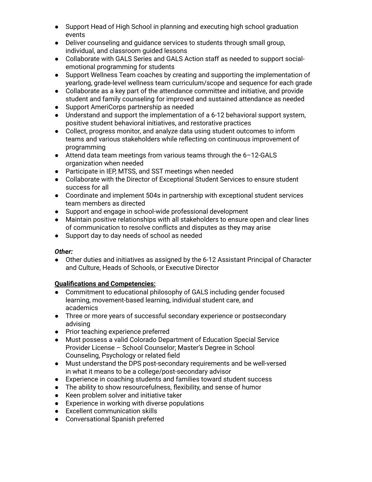- Support Head of High School in planning and executing high school graduation events
- Deliver counseling and guidance services to students through small group, individual, and classroom guided lessons
- Collaborate with GALS Series and GALS Action staff as needed to support socialemotional programming for students
- Support Wellness Team coaches by creating and supporting the implementation of yearlong, grade-level wellness team curriculum/scope and sequence for each grade
- Collaborate as a key part of the attendance committee and initiative, and provide student and family counseling for improved and sustained attendance as needed
- Support AmeriCorps partnership as needed
- Understand and support the implementation of a 6-12 behavioral support system, positive student behavioral initiatives, and restorative practices
- Collect, progress monitor, and analyze data using student outcomes to inform teams and various stakeholders while reflecting on continuous improvement of programming
- Attend data team meetings from various teams through the 6-12-GALS organization when needed
- Participate in IEP, MTSS, and SST meetings when needed
- Collaborate with the Director of Exceptional Student Services to ensure student success for all
- Coordinate and implement 504s in partnership with exceptional student services team members as directed
- Support and engage in school-wide professional development
- Maintain positive relationships with all stakeholders to ensure open and clear lines of communication to resolve conflicts and disputes as they may arise
- Support day to day needs of school as needed

# *Other:*

● Other duties and initiatives as assigned by the 6-12 Assistant Principal of Character and Culture, Heads of Schools, or Executive Director

# **Qualifications and Competencies:**

- Commitment to educational philosophy of GALS including gender focused learning, movement-based learning, individual student care, and academics
- Three or more years of successful secondary experience or postsecondary advising
- Prior teaching experience preferred
- Must possess a valid Colorado Department of Education Special Service Provider License – School Counselor; Master's Degree in School Counseling, Psychology or related field
- Must understand the DPS post-secondary requirements and be well-versed in what it means to be a college/post-secondary advisor
- Experience in coaching students and families toward student success
- The ability to show resourcefulness, flexibility, and sense of humor
- Keen problem solver and initiative taker
- Experience in working with diverse populations
- Excellent communication skills
- Conversational Spanish preferred